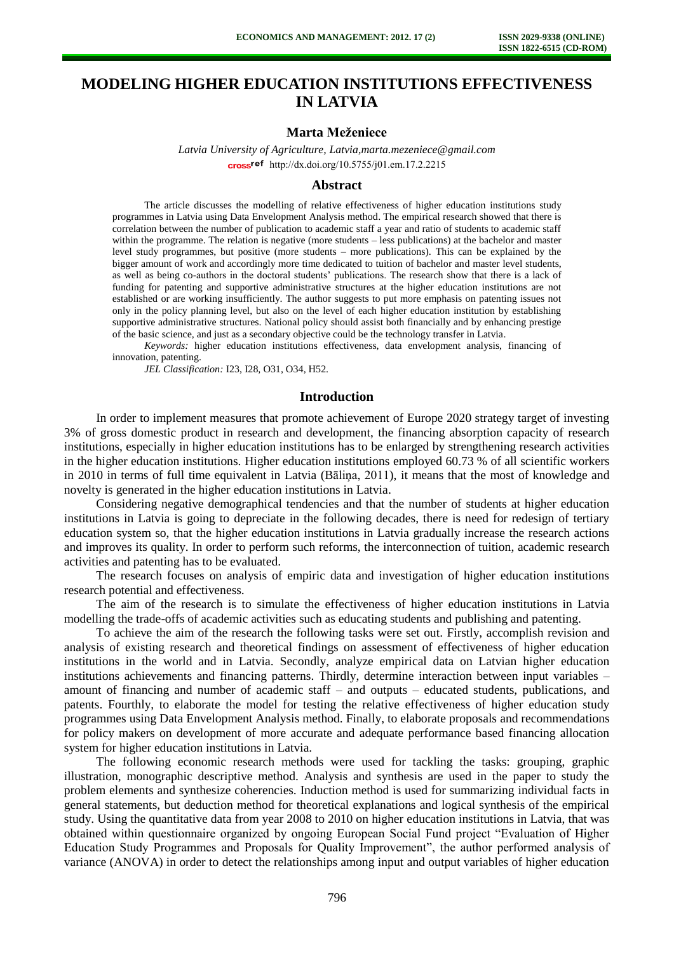# **MODELING HIGHER EDUCATION INSTITUTIONS EFFECTIVENESS IN LATVIA**

#### **Marta Meženiece**

*Latvia University of Agriculture, Latvia,marta.mezeniece@gmail.com*  cross<sup>ref</sup> [http://dx.doi.org/10.5755/j01.e](http://dx.doi.org/10.5755/j01.em.17.2.2215)m.17.2.2215

# **Abstract**

The article discusses the modelling of relative effectiveness of higher education institutions study programmes in Latvia using Data Envelopment Analysis method. The empirical research showed that there is correlation between the number of publication to academic staff a year and ratio of students to academic staff within the programme. The relation is negative (more students – less publications) at the bachelor and master level study programmes, but positive (more students – more publications). This can be explained by the bigger amount of work and accordingly more time dedicated to tuition of bachelor and master level students, as well as being co-authors in the doctoral students' publications. The research show that there is a lack of funding for patenting and supportive administrative structures at the higher education institutions are not established or are working insufficiently. The author suggests to put more emphasis on patenting issues not only in the policy planning level, but also on the level of each higher education institution by establishing supportive administrative structures. National policy should assist both financially and by enhancing prestige of the basic science, and just as a secondary objective could be the technology transfer in Latvia.

*Keywords:* higher education institutions effectiveness, data envelopment analysis, financing of innovation, patenting.

*JEL Classification:* I23, I28, O31, O34, H52.

#### **Introduction**

In order to implement measures that promote achievement of Europe 2020 strategy target of investing 3% of gross domestic product in research and development, the financing absorption capacity of research institutions, especially in higher education institutions has to be enlarged by strengthening research activities in the higher education institutions. Higher education institutions employed 60.73 % of all scientific workers in 2010 in terms of full time equivalent in Latvia (Bāliņa, 2011), it means that the most of knowledge and novelty is generated in the higher education institutions in Latvia.

Considering negative demographical tendencies and that the number of students at higher education institutions in Latvia is going to depreciate in the following decades, there is need for redesign of tertiary education system so, that the higher education institutions in Latvia gradually increase the research actions and improves its quality. In order to perform such reforms, the interconnection of tuition, academic research activities and patenting has to be evaluated.

The research focuses on analysis of empiric data and investigation of higher education institutions research potential and effectiveness.

The aim of the research is to simulate the effectiveness of higher education institutions in Latvia modelling the trade-offs of academic activities such as educating students and publishing and patenting.

To achieve the aim of the research the following tasks were set out. Firstly, accomplish revision and analysis of existing research and theoretical findings on assessment of effectiveness of higher education institutions in the world and in Latvia. Secondly, analyze empirical data on Latvian higher education institutions achievements and financing patterns. Thirdly, determine interaction between input variables – amount of financing and number of academic staff – and outputs – educated students, publications, and patents. Fourthly, to elaborate the model for testing the relative effectiveness of higher education study programmes using Data Envelopment Analysis method. Finally, to elaborate proposals and recommendations for policy makers on development of more accurate and adequate performance based financing allocation system for higher education institutions in Latvia.

The following economic research methods were used for tackling the tasks: grouping, graphic illustration, monographic descriptive method. Analysis and synthesis are used in the paper to study the problem elements and synthesize coherencies. Induction method is used for summarizing individual facts in general statements, but deduction method for theoretical explanations and logical synthesis of the empirical study. Using the quantitative data from year 2008 to 2010 on higher education institutions in Latvia, that was obtained within questionnaire organized by ongoing European Social Fund project "Evaluation of Higher Education Study Programmes and Proposals for Quality Improvement", the author performed analysis of variance (ANOVA) in order to detect the relationships among input and output variables of higher education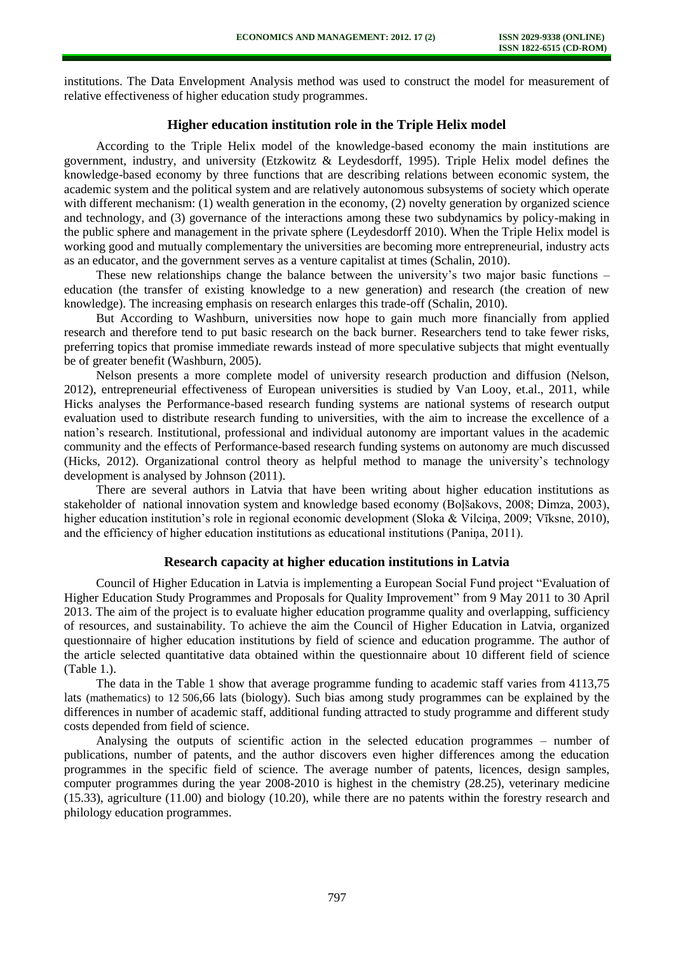institutions. The Data Envelopment Analysis method was used to construct the model for measurement of relative effectiveness of higher education study programmes.

## **Higher education institution role in the Triple Helix model**

According to the Triple Helix model of the knowledge-based economy the main institutions are government, industry, and university (Etzkowitz & Leydesdorff, 1995). Triple Helix model defines the knowledge-based economy by three functions that are describing relations between economic system, the academic system and the political system and are relatively autonomous subsystems of society which operate with different mechanism: (1) wealth generation in the economy, (2) novelty generation by organized science and technology, and (3) governance of the interactions among these two subdynamics by policy-making in the public sphere and management in the private sphere (Leydesdorff 2010). When the Triple Helix model is working good and mutually complementary the universities are becoming more entrepreneurial, industry acts as an educator, and the government serves as a venture capitalist at times (Schalin, 2010).

These new relationships change the balance between the university's two major basic functions – education (the transfer of existing knowledge to a new generation) and research (the creation of new knowledge). The increasing emphasis on research enlarges this trade-off (Schalin, 2010).

But According to Washburn, universities now hope to gain much more financially from applied research and therefore tend to put basic research on the back burner. Researchers tend to take fewer risks, preferring topics that promise immediate rewards instead of more speculative subjects that might eventually be of greater benefit (Washburn, 2005).

Nelson presents a more complete model of university research production and diffusion (Nelson, 2012), entrepreneurial effectiveness of European universities is studied by Van Looy, et.al., 2011, while Hicks analyses the Performance-based research funding systems are national systems of research output evaluation used to distribute research funding to universities, with the aim to increase the excellence of a nation's research. Institutional, professional and individual autonomy are important values in the academic community and the effects of Performance-based research funding systems on autonomy are much discussed (Hicks, 2012). Organizational control theory as helpful method to manage the university's technology development is analysed by Johnson (2011).

There are several authors in Latvia that have been writing about higher education institutions as stakeholder of national innovation system and knowledge based economy (Boļšakovs, 2008; Dimza, 2003), higher education institution's role in regional economic development (Sloka & Vilcina, 2009; Vīksne, 2010), and the efficiency of higher education institutions as educational institutions (Paniņa, 2011).

#### **Research capacity at higher education institutions in Latvia**

Council of Higher Education in Latvia is implementing a European Social Fund project "Evaluation of Higher Education Study Programmes and Proposals for Quality Improvement" from 9 May 2011 to 30 April 2013. The aim of the project is to evaluate higher education programme quality and overlapping, sufficiency of resources, and sustainability. To achieve the aim the Council of Higher Education in Latvia, organized questionnaire of higher education institutions by field of science and education programme. The author of the article selected quantitative data obtained within the questionnaire about 10 different field of science (Table 1.).

The data in the Table 1 show that average programme funding to academic staff varies from 4113,75 lats (mathematics) to 12 506,66 lats (biology). Such bias among study programmes can be explained by the differences in number of academic staff, additional funding attracted to study programme and different study costs depended from field of science.

Analysing the outputs of scientific action in the selected education programmes – number of publications, number of patents, and the author discovers even higher differences among the education programmes in the specific field of science. The average number of patents, licences, design samples, computer programmes during the year 2008-2010 is highest in the chemistry (28.25), veterinary medicine (15.33), agriculture (11.00) and biology (10.20), while there are no patents within the forestry research and philology education programmes.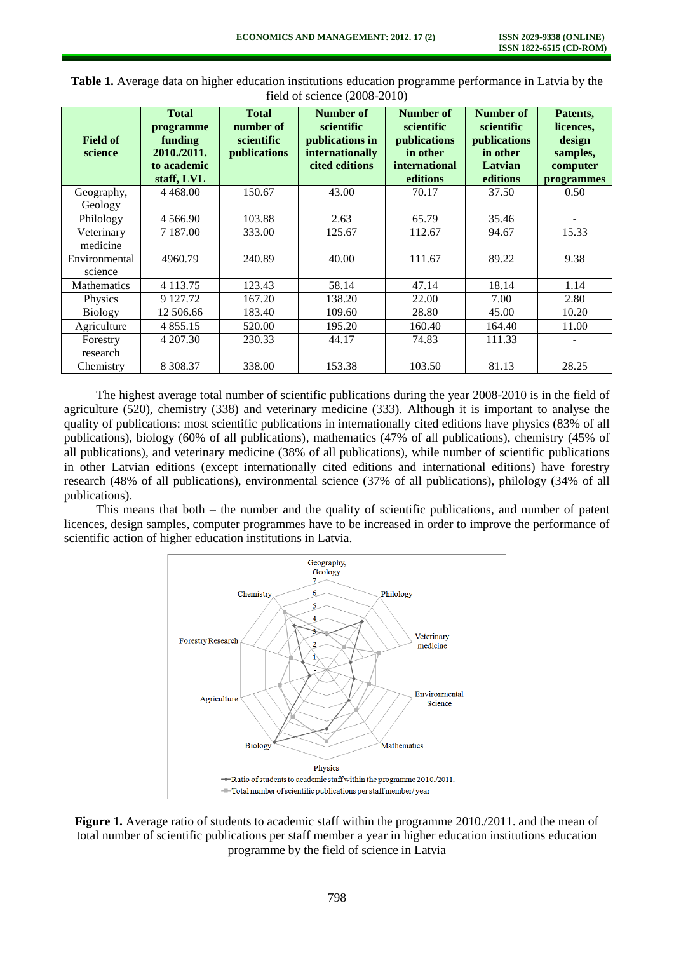| $\frac{1}{2}$              |                                                                                  |                                                         |                                                                                 |                                                                                                |                                                                            |                                                                       |
|----------------------------|----------------------------------------------------------------------------------|---------------------------------------------------------|---------------------------------------------------------------------------------|------------------------------------------------------------------------------------------------|----------------------------------------------------------------------------|-----------------------------------------------------------------------|
| <b>Field of</b><br>science | <b>Total</b><br>programme<br>funding<br>2010./2011.<br>to academic<br>staff, LVL | <b>Total</b><br>number of<br>scientific<br>publications | Number of<br>scientific<br>publications in<br>internationally<br>cited editions | <b>Number of</b><br>scientific<br>publications<br>in other<br><i>international</i><br>editions | Number of<br>scientific<br>publications<br>in other<br>Latvian<br>editions | Patents,<br>licences,<br>design<br>samples,<br>computer<br>programmes |
| Geography,                 | 4 4 6 8 .00                                                                      | 150.67                                                  | 43.00                                                                           | 70.17                                                                                          | 37.50                                                                      | 0.50                                                                  |
| Geology                    |                                                                                  |                                                         |                                                                                 |                                                                                                |                                                                            |                                                                       |
| Philology                  | 4 5 6 6 9 0                                                                      | 103.88                                                  | 2.63                                                                            | 65.79                                                                                          | 35.46                                                                      |                                                                       |
| Veterinary<br>medicine     | 7 1 8 7 .00                                                                      | 333.00                                                  | 125.67                                                                          | 112.67                                                                                         | 94.67                                                                      | 15.33                                                                 |
| Environmental<br>science   | 4960.79                                                                          | 240.89                                                  | 40.00                                                                           | 111.67                                                                                         | 89.22                                                                      | 9.38                                                                  |
| <b>Mathematics</b>         | 4 1 1 3 . 7 5                                                                    | 123.43                                                  | 58.14                                                                           | 47.14                                                                                          | 18.14                                                                      | 1.14                                                                  |
| Physics                    | 9 127.72                                                                         | 167.20                                                  | 138.20                                                                          | 22.00                                                                                          | 7.00                                                                       | 2.80                                                                  |
| <b>Biology</b>             | 12 506.66                                                                        | 183.40                                                  | 109.60                                                                          | 28.80                                                                                          | 45.00                                                                      | 10.20                                                                 |
| Agriculture                | 4 8 5 5 . 1 5                                                                    | 520.00                                                  | 195.20                                                                          | 160.40                                                                                         | 164.40                                                                     | 11.00                                                                 |
| Forestry<br>research       | 4 207.30                                                                         | 230.33                                                  | 44.17                                                                           | 74.83                                                                                          | 111.33                                                                     |                                                                       |
| Chemistry                  | 8 3 08 3 7                                                                       | 338.00                                                  | 153.38                                                                          | 103.50                                                                                         | 81.13                                                                      | 28.25                                                                 |

**Table 1.** Average data on higher education institutions education programme performance in Latvia by the field of science  $(2008-2010)$ 

The highest average total number of scientific publications during the year 2008-2010 is in the field of agriculture (520), chemistry (338) and veterinary medicine (333). Although it is important to analyse the quality of publications: most scientific publications in internationally cited editions have physics (83% of all publications), biology (60% of all publications), mathematics (47% of all publications), chemistry (45% of all publications), and veterinary medicine (38% of all publications), while number of scientific publications in other Latvian editions (except internationally cited editions and international editions) have forestry research (48% of all publications), environmental science (37% of all publications), philology (34% of all publications).

This means that both – the number and the quality of scientific publications, and number of patent licences, design samples, computer programmes have to be increased in order to improve the performance of scientific action of higher education institutions in Latvia.



**Figure 1.** Average ratio of students to academic staff within the programme 2010./2011. and the mean of total number of scientific publications per staff member a year in higher education institutions education programme by the field of science in Latvia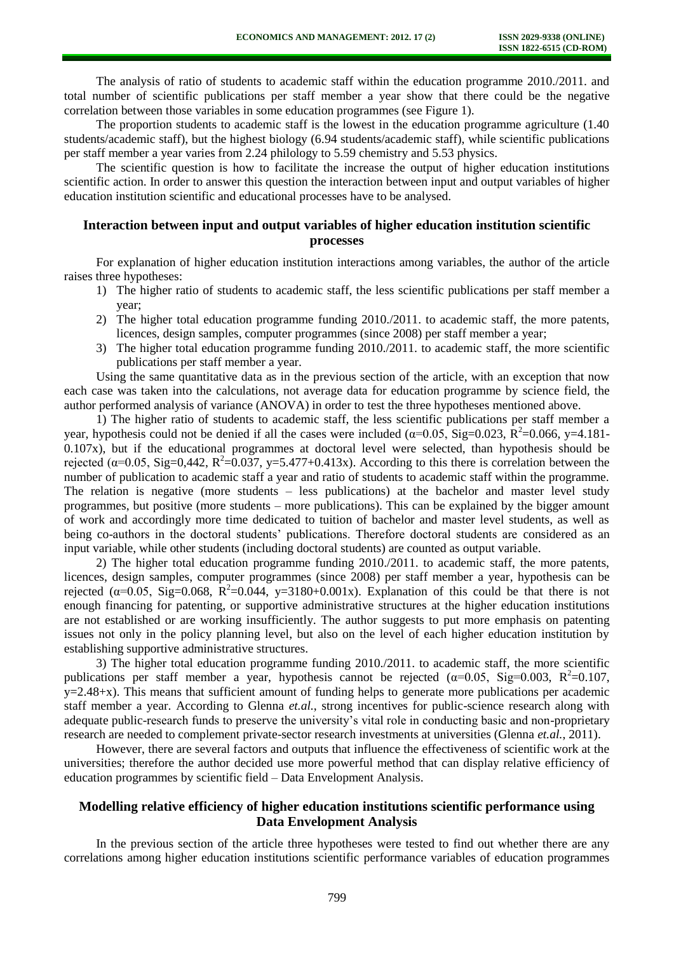The analysis of ratio of students to academic staff within the education programme 2010./2011. and total number of scientific publications per staff member a year show that there could be the negative correlation between those variables in some education programmes (see Figure 1).

The proportion students to academic staff is the lowest in the education programme agriculture (1.40 students/academic staff), but the highest biology (6.94 students/academic staff), while scientific publications per staff member a year varies from 2.24 philology to 5.59 chemistry and 5.53 physics.

The scientific question is how to facilitate the increase the output of higher education institutions scientific action. In order to answer this question the interaction between input and output variables of higher education institution scientific and educational processes have to be analysed.

# **Interaction between input and output variables of higher education institution scientific processes**

For explanation of higher education institution interactions among variables, the author of the article raises three hypotheses:

- 1) The higher ratio of students to academic staff, the less scientific publications per staff member a year;
- 2) The higher total education programme funding 2010./2011. to academic staff, the more patents, licences, design samples, computer programmes (since 2008) per staff member a year;
- 3) The higher total education programme funding 2010./2011. to academic staff, the more scientific publications per staff member a year.

Using the same quantitative data as in the previous section of the article, with an exception that now each case was taken into the calculations, not average data for education programme by science field, the author performed analysis of variance (ANOVA) in order to test the three hypotheses mentioned above.

1) The higher ratio of students to academic staff, the less scientific publications per staff member a year, hypothesis could not be denied if all the cases were included ( $\alpha$ =0.05, Sig=0.023, R<sup>2</sup>=0.066, y=4.181-0.107x), but if the educational programmes at doctoral level were selected, than hypothesis should be rejected ( $\alpha$ =0.05, Sig=0,442, R<sup>2</sup>=0.037, y=5.477+0.413x). According to this there is correlation between the number of publication to academic staff a year and ratio of students to academic staff within the programme. The relation is negative (more students – less publications) at the bachelor and master level study programmes, but positive (more students – more publications). This can be explained by the bigger amount of work and accordingly more time dedicated to tuition of bachelor and master level students, as well as being co-authors in the doctoral students' publications. Therefore doctoral students are considered as an input variable, while other students (including doctoral students) are counted as output variable.

2) The higher total education programme funding 2010./2011. to academic staff, the more patents, licences, design samples, computer programmes (since 2008) per staff member a year, hypothesis can be rejected ( $\alpha$ =0.05, Sig=0.068, R<sup>2</sup>=0.044, y=3180+0.001x). Explanation of this could be that there is not enough financing for patenting, or supportive administrative structures at the higher education institutions are not established or are working insufficiently. The author suggests to put more emphasis on patenting issues not only in the policy planning level, but also on the level of each higher education institution by establishing supportive administrative structures.

3) The higher total education programme funding 2010./2011. to academic staff, the more scientific publications per staff member a year, hypothesis cannot be rejected  $(\alpha=0.05, Sig=0.003, R^2=0.107,$  $y=2.48+x$ ). This means that sufficient amount of funding helps to generate more publications per academic staff member a year. According to Glenna *et.al.*, strong incentives for public-science research along with adequate public-research funds to preserve the university's vital role in conducting basic and non-proprietary research are needed to complement private-sector research investments at universities (Glenna *et.al.*, 2011).

However, there are several factors and outputs that influence the effectiveness of scientific work at the universities; therefore the author decided use more powerful method that can display relative efficiency of education programmes by scientific field – Data Envelopment Analysis.

# **Modelling relative efficiency of higher education institutions scientific performance using Data Envelopment Analysis**

In the previous section of the article three hypotheses were tested to find out whether there are any correlations among higher education institutions scientific performance variables of education programmes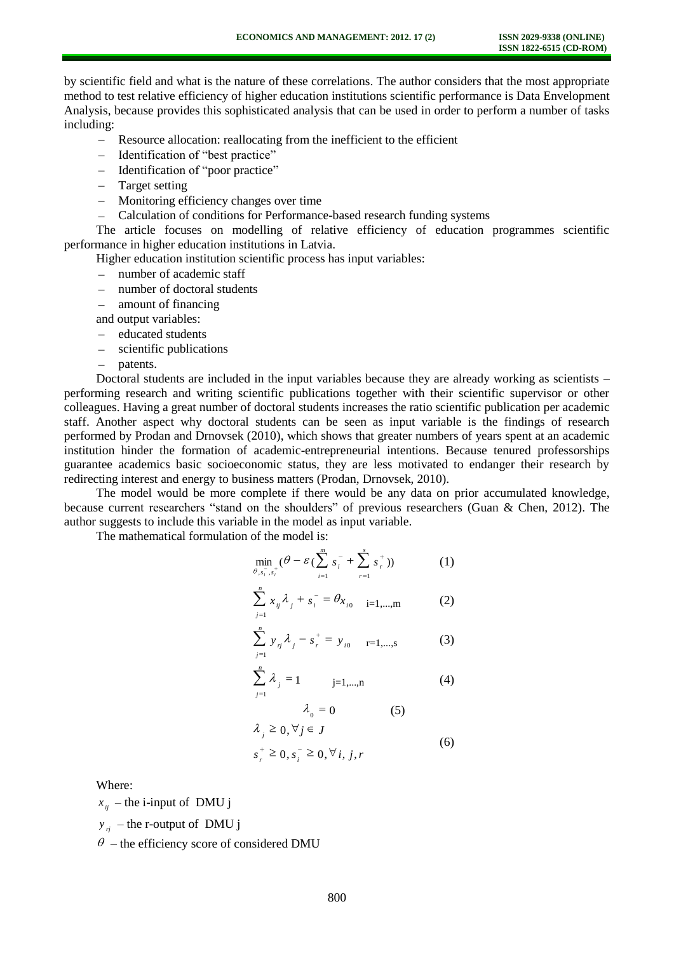by scientific field and what is the nature of these correlations. The author considers that the most appropriate method to test relative efficiency of higher education institutions scientific performance is Data Envelopment Analysis, because provides this sophisticated analysis that can be used in order to perform a number of tasks including:

- Resource allocation: reallocating from the inefficient to the efficient
- Identification of "best practice"
- Identification of "poor practice"
- Target setting
- Monitoring efficiency changes over time
- Calculation of conditions for Performance-based research funding systems

The article focuses on modelling of relative efficiency of education programmes scientific performance in higher education institutions in Latvia.

Higher education institution scientific process has input variables:

- number of academic staff
- number of doctoral students
- amount of financing
- and output variables:
- $-$  educated students
- scientific publications
- $\equiv$ patents.

Doctoral students are included in the input variables because they are already working as scientists – performing research and writing scientific publications together with their scientific supervisor or other colleagues. Having a great number of doctoral students increases the ratio scientific publication per academic staff. Another aspect why doctoral students can be seen as input variable is the findings of research performed by Prodan and Drnovsek (2010), which shows that greater numbers of years spent at an academic institution hinder the formation of academic-entrepreneurial intentions. Because tenured professorships guarantee academics basic socioeconomic status, they are less motivated to endanger their research by redirecting interest and energy to business matters (Prodan, Drnovsek, 2010).

The model would be more complete if there would be any data on prior accumulated knowledge, because current researchers "stand on the shoulders" of previous researchers (Guan & Chen, 2012). The author suggests to include this variable in the model as input variable.

The mathematical formulation of the model is:

$$
\min_{\theta, s_i, s_i^+} (\theta - \varepsilon (\sum_{i=1}^m s_i^- + \sum_{r=1}^s s_r^+)) \tag{1}
$$

$$
\sum_{j=1}^{n} x_{ij} \lambda_j + s_i^- = \theta_{x_{i0}} \quad \text{ i=1,...,m}
$$
 (2)

$$
\sum_{j=1}^{n} y_{ij} \lambda_{j} - s_{r}^{+} = y_{i0} \quad \text{r=1,...,s}
$$
 (3)

$$
\sum_{j=1}^{n} \lambda_{j} = 1 \qquad j=1,...,n \qquad (4)
$$

$$
\lambda_0 = 0 \tag{5}
$$
  

$$
\lambda_j \ge 0, \forall j \in J \tag{6}
$$

$$
s_r^+ \geq 0, s_i^- \geq 0, \forall i, j, r
$$

Where:

 $x_{ij}$  – the i-input of DMU j

 $y_{ri}$  – the r-output of DMU j

 $\theta$  – the efficiency score of considered DMU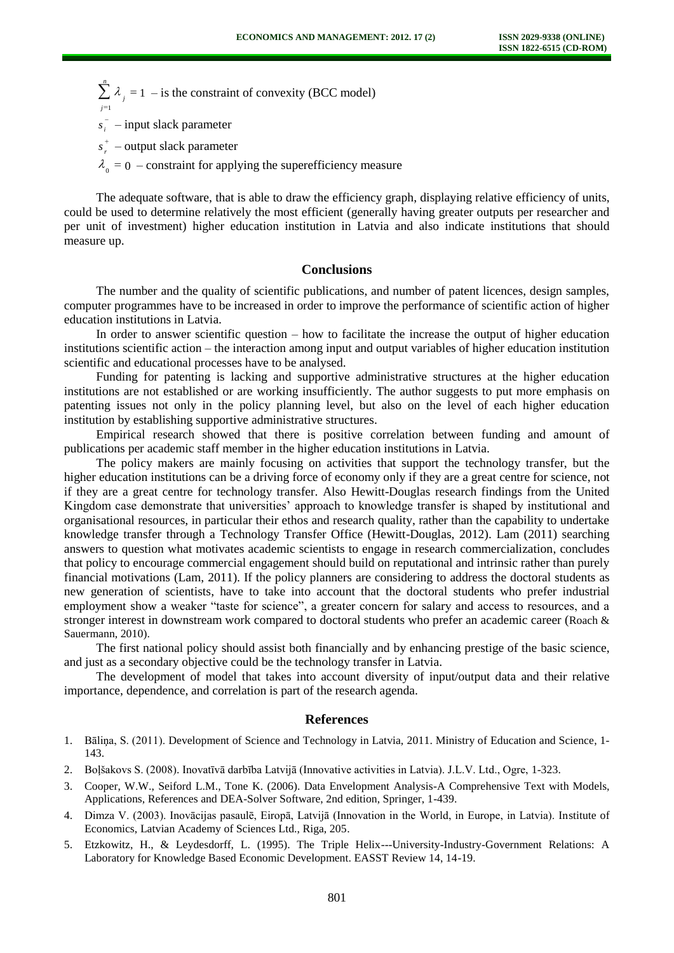- 1 1 *n j*  $j = 1 -$  is the constraint of convexity (BCC model)
- *i s* input slack parameter
- *r s* output slack parameter
- $_0$  = 0 constraint for applying the superefficiency measure

The adequate software, that is able to draw the efficiency graph, displaying relative efficiency of units, could be used to determine relatively the most efficient (generally having greater outputs per researcher and per unit of investment) higher education institution in Latvia and also indicate institutions that should measure up.

### **Conclusions**

The number and the quality of scientific publications, and number of patent licences, design samples, computer programmes have to be increased in order to improve the performance of scientific action of higher education institutions in Latvia.

In order to answer scientific question – how to facilitate the increase the output of higher education institutions scientific action – the interaction among input and output variables of higher education institution scientific and educational processes have to be analysed.

Funding for patenting is lacking and supportive administrative structures at the higher education institutions are not established or are working insufficiently. The author suggests to put more emphasis on patenting issues not only in the policy planning level, but also on the level of each higher education institution by establishing supportive administrative structures.

Empirical research showed that there is positive correlation between funding and amount of publications per academic staff member in the higher education institutions in Latvia.

The policy makers are mainly focusing on activities that support the technology transfer, but the higher education institutions can be a driving force of economy only if they are a great centre for science, not if they are a great centre for technology transfer. Also Hewitt-Douglas research findings from the United Kingdom case demonstrate that universities' approach to knowledge transfer is shaped by institutional and organisational resources, in particular their ethos and research quality, rather than the capability to undertake knowledge transfer through a Technology Transfer Office (Hewitt-Douglas, 2012). Lam (2011) searching answers to question what motivates academic scientists to engage in research commercialization, concludes that policy to encourage commercial engagement should build on reputational and intrinsic rather than purely financial motivations (Lam, 2011). If the policy planners are considering to address the doctoral students as new generation of scientists, have to take into account that the doctoral students who prefer industrial employment show a weaker "taste for science", a greater concern for salary and access to resources, and a stronger interest in downstream work compared to doctoral students who prefer an academic career (Roach & Sauermann, 2010).

The first national policy should assist both financially and by enhancing prestige of the basic science, and just as a secondary objective could be the technology transfer in Latvia.

The development of model that takes into account diversity of input/output data and their relative importance, dependence, and correlation is part of the research agenda.

#### **References**

- 1. Bāliņa, S. (2011). Development of Science and Technology in Latvia, 2011. Ministry of Education and Science, 1- 143.
- 2. Boļšakovs S. (2008). Inovatīvā darbība Latvijā (Innovative activities in Latvia). J.L.V. Ltd., Ogre, 1-323.
- 3. Cooper, W.W., Seiford L.M., Tone K. (2006). Data Envelopment Analysis-A Comprehensive Text with Models, Applications, References and DEA-Solver Software, 2nd edition, Springer, 1-439.
- 4. Dimza V. (2003). Inovācijas pasaulē, Eiropā, Latvijā (Innovation in the World, in Europe, in Latvia). Institute of Economics, Latvian Academy of Sciences Ltd., Riga, 205.
- 5. Etzkowitz, H., & Leydesdorff, L. (1995). The Triple Helix---University-Industry-Government Relations: A Laboratory for Knowledge Based Economic Development. EASST Review 14, 14-19.